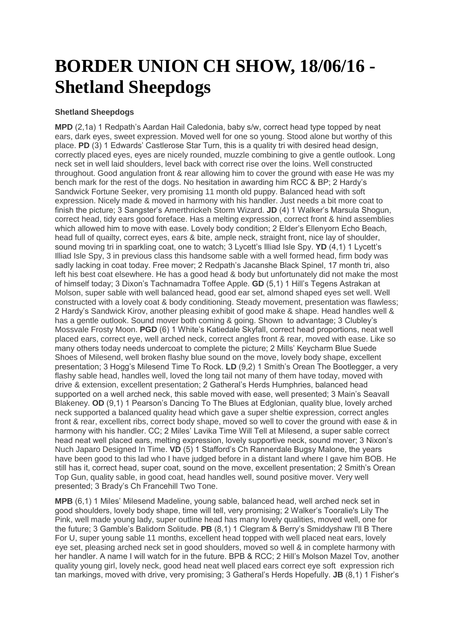## **BORDER UNION CH SHOW, 18/06/16 - Shetland Sheepdogs**

## **Shetland Sheepdogs**

**MPD** (2,1a) 1 Redpath's Aardan Hail Caledonia, baby s/w, correct head type topped by neat ears, dark eyes, sweet expression. Moved well for one so young. Stood alone but worthy of this place. **PD** (3) 1 Edwards' Castlerose Star Turn, this is a quality tri with desired head design, correctly placed eyes, eyes are nicely rounded, muzzle combining to give a gentle outlook. Long neck set in well laid shoulders, level back with correct rise over the loins. Well constructed throughout. Good angulation front & rear allowing him to cover the ground with ease He was my bench mark for the rest of the dogs. No hesitation in awarding him RCC & BP; 2 Hardy's Sandwick Fortune Seeker, very promising 11 month old puppy. Balanced head with soft expression. Nicely made & moved in harmony with his handler. Just needs a bit more coat to finish the picture; 3 Sangster's Amerthrickeh Storm Wizard. **JD** (4) 1 Walker's Marsula Shogun, correct head, tidy ears good foreface. Has a melting expression, correct front & hind assemblies which allowed him to move with ease. Lovely body condition; 2 Elder's Ellenyorn Echo Beach, head full of quailty, correct eyes, ears & bite, ample neck, straight front, nice lay of shoulder, sound moving tri in sparkling coat, one to watch; 3 Lycett's Illiad Isle Spy. **YD** (4,1) 1 Lycett's Illiad Isle Spy, 3 in previous class this handsome sable with a well formed head, firm body was sadly lacking in coat today. Free mover; 2 Redpath's Jacanshe Black Spinel, 17 month tri, also left his best coat elsewhere. He has a good head & body but unfortunately did not make the most of himself today; 3 Dixon's Tachnamadra Toffee Apple. **GD** (5,1) 1 Hill's Tegens Astrakan at Molson, super sable with well balanced head, good ear set, almond shaped eyes set well. Well constructed with a lovely coat & body conditioning. Steady movement, presentation was flawless; 2 Hardy's Sandwick Kirov, another pleasing exhibit of good make & shape. Head handles well & has a gentle outlook. Sound mover both coming & going. Shown to advantage; 3 Clubley's Mossvale Frosty Moon. **PGD** (6) 1 White's Katiedale Skyfall, correct head proportions, neat well placed ears, correct eye, well arched neck, correct angles front & rear, moved with ease. Like so many others today needs undercoat to complete the picture; 2 Mills' Keycharm Blue Suede Shoes of Milesend, well broken flashy blue sound on the move, lovely body shape, excellent presentation; 3 Hogg's Milesend Time To Rock. **LD** (9,2) 1 Smith's Orean The Bootlegger, a very flashy sable head, handles well, loved the long tail not many of them have today, moved with drive & extension, excellent presentation; 2 Gatheral's Herds Humphries, balanced head supported on a well arched neck, this sable moved with ease, well presented; 3 Main's Seavall Blakeney. **OD** (9,1) 1 Pearson's Dancing To The Blues at Edglonian, quality blue, lovely arched neck supported a balanced quality head which gave a super sheltie expression, correct angles front & rear, excellent ribs, correct body shape, moved so well to cover the ground with ease & in harmony with his handler. CC; 2 Miles' Lavika Time Will Tell at Milesend, a super sable correct head neat well placed ears, melting expression, lovely supportive neck, sound mover; 3 Nixon's Nuch Japaro Designed In Time. **VD** (5) 1 Stafford's Ch Rannerdale Bugsy Malone, the years have been good to this lad who I have judged before in a distant land where I gave him BOB. He still has it, correct head, super coat, sound on the move, excellent presentation; 2 Smith's Orean Top Gun, quality sable, in good coat, head handles well, sound positive mover. Very well presented; 3 Brady's Ch Francehill Two Tone.

**MPB** (6,1) 1 Miles' Milesend Madeline, young sable, balanced head, well arched neck set in good shoulders, lovely body shape, time will tell, very promising; 2 Walker's Tooralie's Lily The Pink, well made young lady, super outline head has many lovely qualities, moved well, one for the future; 3 Gamble's Balidorn Solitude. **PB** (8,1) 1 Clegram & Berry's Smiddyshaw I'll B There For U, super young sable 11 months, excellent head topped with well placed neat ears, lovely eye set, pleasing arched neck set in good shoulders, moved so well & in complete harmony with her handler. A name I will watch for in the future. BPB & RCC; 2 Hill's Molson Mazel Tov, another quality young girl, lovely neck, good head neat well placed ears correct eye soft expression rich tan markings, moved with drive, very promising; 3 Gatheral's Herds Hopefully. **JB** (8,1) 1 Fisher's